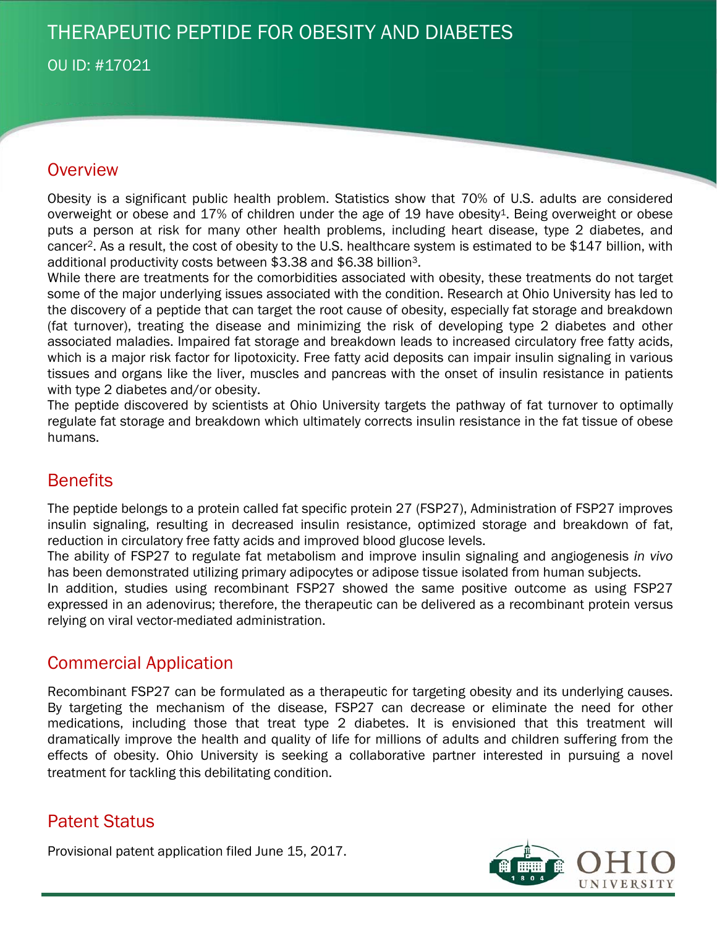# THERAPEUTIC PEPTIDE FOR OBESITY AND DIABETES

OU ID: #17021

## **Overview**

Obesity is a significant public health problem. Statistics show that 70% of U.S. adults are considered overweight or obese and  $17\%$  of children under the age of 19 have obesity<sup>1</sup>. Being overweight or obese puts a person at risk for many other health problems, including heart disease, type 2 diabetes, and cancer2. As a result, the cost of obesity to the U.S. healthcare system is estimated to be \$147 billion, with additional productivity costs between \$3.38 and \$6.38 billion3.

While there are treatments for the comorbidities associated with obesity, these treatments do not target some of the major underlying issues associated with the condition. Research at Ohio University has led to the discovery of a peptide that can target the root cause of obesity, especially fat storage and breakdown (fat turnover), treating the disease and minimizing the risk of developing type 2 diabetes and other associated maladies. Impaired fat storage and breakdown leads to increased circulatory free fatty acids, which is a major risk factor for lipotoxicity. Free fatty acid deposits can impair insulin signaling in various tissues and organs like the liver, muscles and pancreas with the onset of insulin resistance in patients with type 2 diabetes and/or obesity.

The peptide discovered by scientists at Ohio University targets the pathway of fat turnover to optimally regulate fat storage and breakdown which ultimately corrects insulin resistance in the fat tissue of obese humans.

## **Benefits**

The peptide belongs to a protein called fat specific protein 27 (FSP27), Administration of FSP27 improves insulin signaling, resulting in decreased insulin resistance, optimized storage and breakdown of fat, reduction in circulatory free fatty acids and improved blood glucose levels.

The ability of FSP27 to regulate fat metabolism and improve insulin signaling and angiogenesis *in vivo* has been demonstrated utilizing primary adipocytes or adipose tissue isolated from human subjects.

In addition, studies using recombinant FSP27 showed the same positive outcome as using FSP27 expressed in an adenovirus; therefore, the therapeutic can be delivered as a recombinant protein versus relying on viral vector-mediated administration.

### Commercial Application

Recombinant FSP27 can be formulated as a therapeutic for targeting obesity and its underlying causes. By targeting the mechanism of the disease, FSP27 can decrease or eliminate the need for other medications, including those that treat type 2 diabetes. It is envisioned that this treatment will dramatically improve the health and quality of life for millions of adults and children suffering from the effects of obesity. Ohio University is seeking a collaborative partner interested in pursuing a novel treatment for tackling this debilitating condition.

## Patent Status

Provisional patent application filed June 15, 2017.

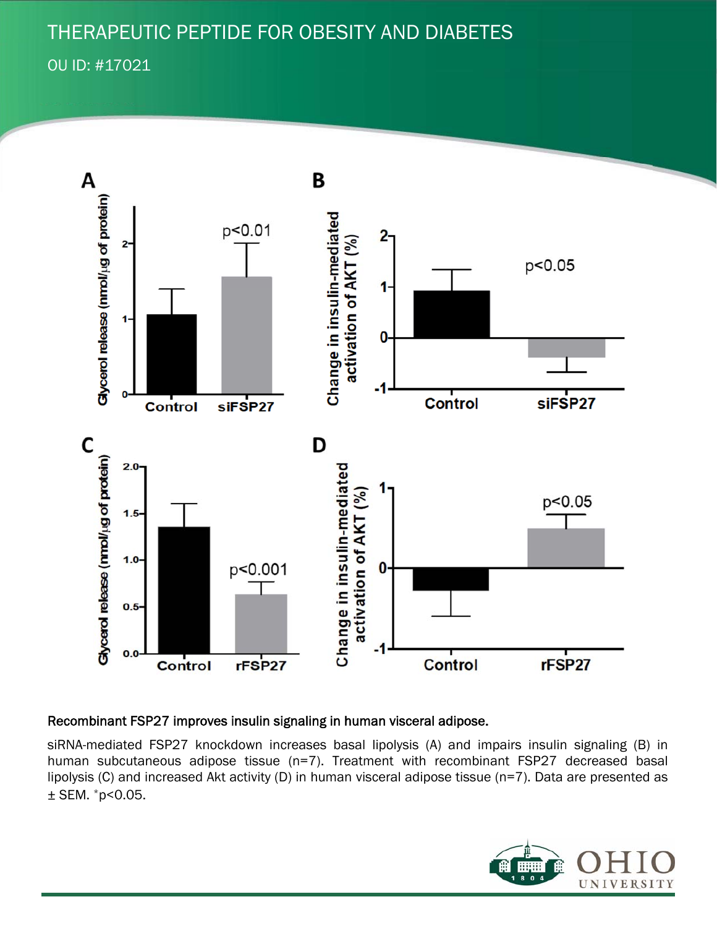## THERAPEUTIC PEPTIDE FOR OBESITY AND DIABETES

OU ID: #17021



#### Recombinant FSP27 improves insulin signaling in human visceral adipose.

siRNA-mediated FSP27 knockdown increases basal lipolysis (A) and impairs insulin signaling (B) in human subcutaneous adipose tissue (n=7). Treatment with recombinant FSP27 decreased basal lipolysis (C) and increased Akt activity (D) in human visceral adipose tissue (n=7). Data are presented as  $±$  SEM.  $*$ p<0.05.